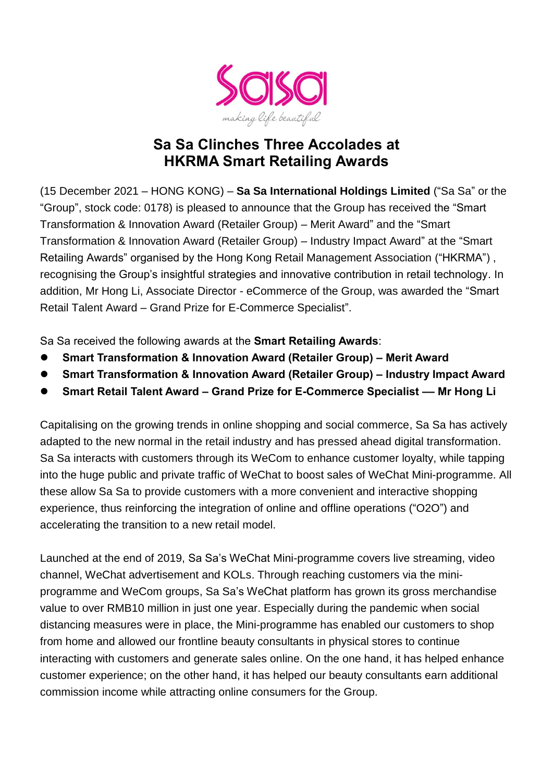

## **Sa Sa Clinches Three Accolades at HKRMA Smart Retailing Awards**

(15 December 2021 – HONG KONG) – **Sa Sa International Holdings Limited** ("Sa Sa" or the "Group", stock code: 0178) is pleased to announce that the Group has received the "Smart Transformation & Innovation Award (Retailer Group) – Merit Award" and the "Smart Transformation & Innovation Award (Retailer Group) – Industry Impact Award" at the "Smart Retailing Awards" organised by the Hong Kong Retail Management Association ("HKRMA") , recognising the Group's insightful strategies and innovative contribution in retail technology. In addition, Mr Hong Li, Associate Director - eCommerce of the Group, was awarded the "Smart Retail Talent Award – Grand Prize for E-Commerce Specialist".

Sa Sa received the following awards at the **Smart Retailing Awards**:

- **Smart Transformation & Innovation Award (Retailer Group) – Merit Award**
- **Smart Transformation & Innovation Award (Retailer Group) – Industry Impact Award**
- **Smart Retail Talent Award – Grand Prize for E-Commerce Specialist –– Mr Hong Li**

Capitalising on the growing trends in online shopping and social commerce, Sa Sa has actively adapted to the new normal in the retail industry and has pressed ahead digital transformation. Sa Sa interacts with customers through its WeCom to enhance customer loyalty, while tapping into the huge public and private traffic of WeChat to boost sales of WeChat Mini-programme. All these allow Sa Sa to provide customers with a more convenient and interactive shopping experience, thus reinforcing the integration of online and offline operations ("O2O") and accelerating the transition to a new retail model.

Launched at the end of 2019, Sa Sa's WeChat Mini-programme covers live streaming, video channel, WeChat advertisement and KOLs. Through reaching customers via the miniprogramme and WeCom groups, Sa Sa's WeChat platform has grown its gross merchandise value to over RMB10 million in just one year. Especially during the pandemic when social distancing measures were in place, the Mini-programme has enabled our customers to shop from home and allowed our frontline beauty consultants in physical stores to continue interacting with customers and generate sales online. On the one hand, it has helped enhance customer experience; on the other hand, it has helped our beauty consultants earn additional commission income while attracting online consumers for the Group.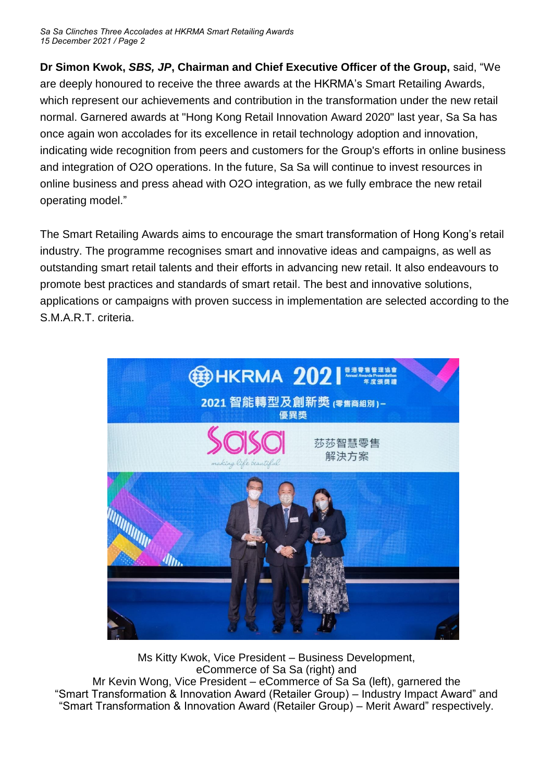*Sa Sa Clinches Three Accolades at HKRMA Smart Retailing Awards 15 December 2021 / Page 2*

**Dr Simon Kwok,** *SBS, JP***, Chairman and Chief Executive Officer of the Group,** said, "We are deeply honoured to receive the three awards at the HKRMA's Smart Retailing Awards, which represent our achievements and contribution in the transformation under the new retail normal. Garnered awards at "Hong Kong Retail Innovation Award 2020" last year, Sa Sa has once again won accolades for its excellence in retail technology adoption and innovation, indicating wide recognition from peers and customers for the Group's efforts in online business and integration of O2O operations. In the future, Sa Sa will continue to invest resources in online business and press ahead with O2O integration, as we fully embrace the new retail operating model."

The Smart Retailing Awards aims to encourage the smart transformation of Hong Kong's retail industry. The programme recognises smart and innovative ideas and campaigns, as well as outstanding smart retail talents and their efforts in advancing new retail. It also endeavours to promote best practices and standards of smart retail. The best and innovative solutions, applications or campaigns with proven success in implementation are selected according to the S.M.A.R.T. criteria.



Ms Kitty Kwok, Vice President – Business Development, eCommerce of Sa Sa (right) and Mr Kevin Wong, Vice President – eCommerce of Sa Sa (left), garnered the "Smart Transformation & Innovation Award (Retailer Group) – Industry Impact Award" and "Smart Transformation & Innovation Award (Retailer Group) – Merit Award" respectively.